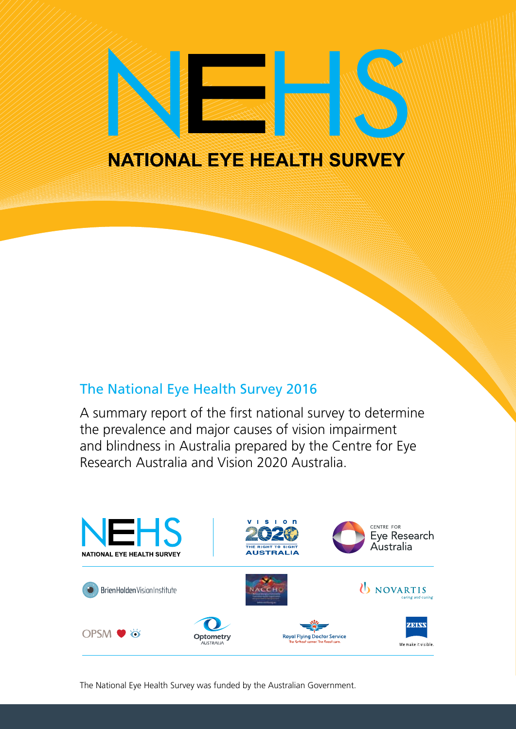# **NATIONAL EYE HEALTH SURVEY**

# The National Eye Health Survey 2016

A summary report of the first national survey to determine the prevalence and major causes of vision impairment and blindness in Australia prepared by the Centre for Eye Research Australia and Vision 2020 Australia.



The National Eye Health Survey was funded by the Australian Government.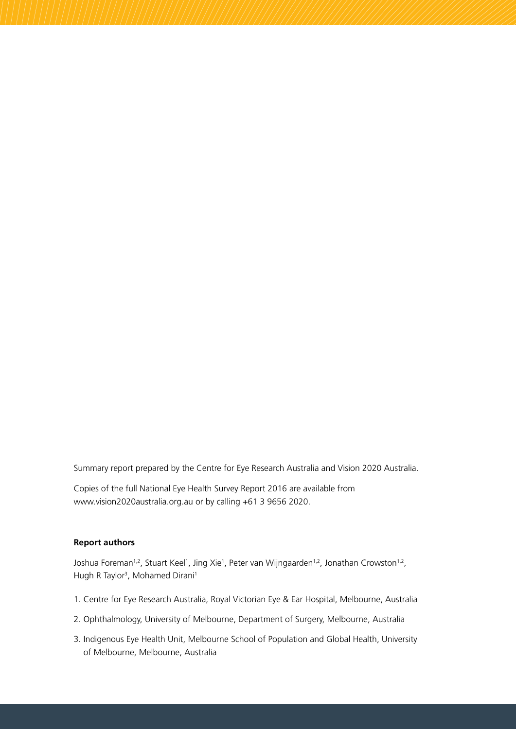Summary report prepared by the Centre for Eye Research Australia and Vision 2020 Australia.

Copies of the full National Eye Health Survey Report 2016 are available from www.vision2020australia.org.au or by calling +61 3 9656 2020.

#### **Report authors**

Joshua Foreman<sup>1,2</sup>, Stuart Keel<sup>1</sup>, Jing Xie<sup>1</sup>, Peter van Wijngaarden<sup>1,2</sup>, Jonathan Crowston<sup>1,2</sup>, Hugh R Taylor<sup>3</sup>, Mohamed Dirani<sup>1</sup>

- 1. Centre for Eye Research Australia, Royal Victorian Eye & Ear Hospital, Melbourne, Australia
- 2. Ophthalmology, University of Melbourne, Department of Surgery, Melbourne, Australia
- 3. Indigenous Eye Health Unit, Melbourne School of Population and Global Health, University of Melbourne, Melbourne, Australia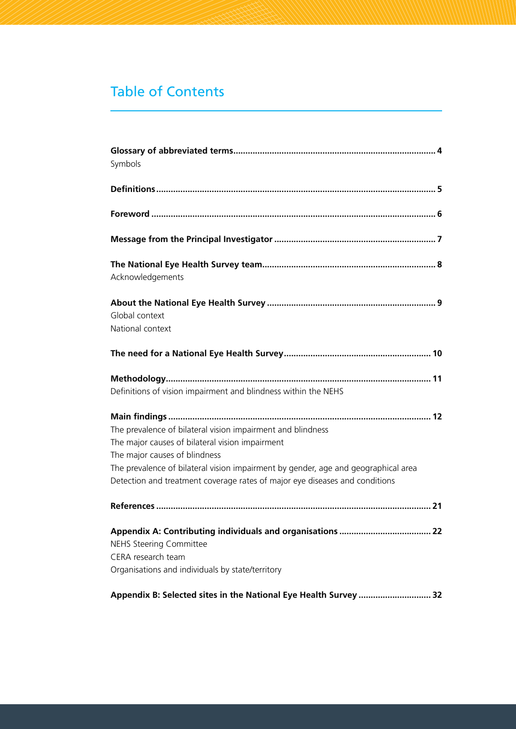# Table of Contents

| Symbols                                                                                                                                                                                                                                                                                                              |
|----------------------------------------------------------------------------------------------------------------------------------------------------------------------------------------------------------------------------------------------------------------------------------------------------------------------|
|                                                                                                                                                                                                                                                                                                                      |
|                                                                                                                                                                                                                                                                                                                      |
|                                                                                                                                                                                                                                                                                                                      |
| Acknowledgements                                                                                                                                                                                                                                                                                                     |
| Global context<br>National context                                                                                                                                                                                                                                                                                   |
|                                                                                                                                                                                                                                                                                                                      |
| Definitions of vision impairment and blindness within the NEHS                                                                                                                                                                                                                                                       |
| The prevalence of bilateral vision impairment and blindness<br>The major causes of bilateral vision impairment<br>The major causes of blindness<br>The prevalence of bilateral vision impairment by gender, age and geographical area<br>Detection and treatment coverage rates of major eye diseases and conditions |
|                                                                                                                                                                                                                                                                                                                      |
| .22<br><b>NEHS Steering Committee</b><br>CERA research team<br>Organisations and individuals by state/territory                                                                                                                                                                                                      |
| Appendix B: Selected sites in the National Eye Health Survey  32                                                                                                                                                                                                                                                     |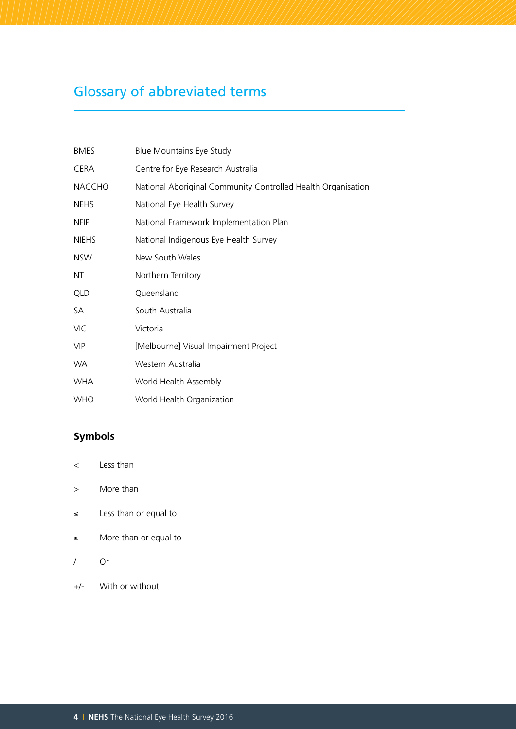# Glossary of abbreviated terms

| <b>BMES</b>   | <b>Blue Mountains Eye Study</b>                              |
|---------------|--------------------------------------------------------------|
| CERA          | Centre for Eye Research Australia                            |
| <b>NACCHO</b> | National Aboriginal Community Controlled Health Organisation |
| <b>NEHS</b>   | National Eye Health Survey                                   |
| <b>NFIP</b>   | National Framework Implementation Plan                       |
| <b>NIEHS</b>  | National Indigenous Eye Health Survey                        |
| <b>NSW</b>    | New South Wales                                              |
| ΝT            | Northern Territory                                           |
| QLD           | Queensland                                                   |
| SA            | South Australia                                              |
| <b>VIC</b>    | Victoria                                                     |
| <b>VIP</b>    | [Melbourne] Visual Impairment Project                        |
| WA.           | Western Australia                                            |
| <b>WHA</b>    | World Health Assembly                                        |
| <b>WHO</b>    | World Health Organization                                    |

# **Symbols**

- < Less than
- > More than
- ≤ Less than or equal to
- ≥ More than or equal to
- / Or
- +/- With or without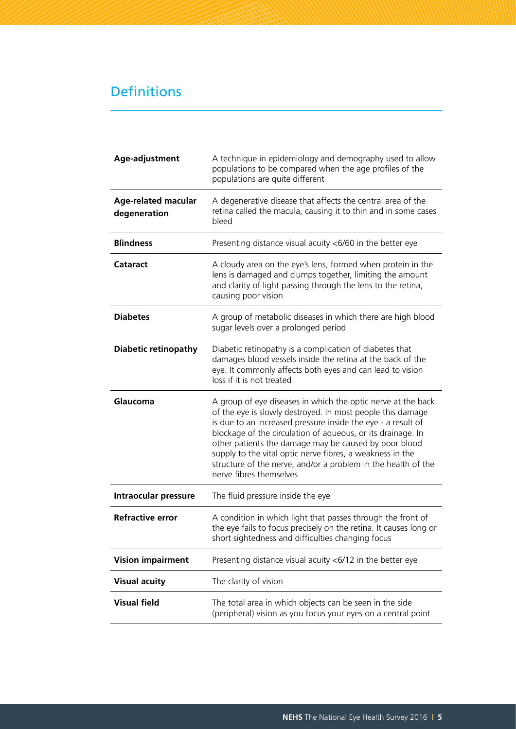# Definitions

| A technique in epidemiology and demography used to allow<br>populations to be compared when the age profiles of the<br>populations are quite different                                                                                                                                                                                                                                                                                                                      |
|-----------------------------------------------------------------------------------------------------------------------------------------------------------------------------------------------------------------------------------------------------------------------------------------------------------------------------------------------------------------------------------------------------------------------------------------------------------------------------|
| A degenerative disease that affects the central area of the<br>retina called the macula, causing it to thin and in some cases<br>bleed                                                                                                                                                                                                                                                                                                                                      |
| Presenting distance visual acuity <6/60 in the better eye                                                                                                                                                                                                                                                                                                                                                                                                                   |
| A cloudy area on the eye's lens, formed when protein in the<br>lens is damaged and clumps together, limiting the amount<br>and clarity of light passing through the lens to the retina,<br>causing poor vision                                                                                                                                                                                                                                                              |
| A group of metabolic diseases in which there are high blood<br>sugar levels over a prolonged period                                                                                                                                                                                                                                                                                                                                                                         |
| Diabetic retinopathy is a complication of diabetes that<br>damages blood vessels inside the retina at the back of the<br>eye. It commonly affects both eyes and can lead to vision<br>loss if it is not treated                                                                                                                                                                                                                                                             |
| A group of eye diseases in which the optic nerve at the back<br>of the eye is slowly destroyed. In most people this damage<br>is due to an increased pressure inside the eye - a result of<br>blockage of the circulation of aqueous, or its drainage. In<br>other patients the damage may be caused by poor blood<br>supply to the vital optic nerve fibres, a weakness in the<br>structure of the nerve, and/or a problem in the health of the<br>nerve fibres themselves |
| The fluid pressure inside the eye                                                                                                                                                                                                                                                                                                                                                                                                                                           |
| A condition in which light that passes through the front of<br>the eye fails to focus precisely on the retina. It causes long or<br>short sightedness and difficulties changing focus                                                                                                                                                                                                                                                                                       |
| Presenting distance visual acuity $<\frac{6}{12}$ in the better eye                                                                                                                                                                                                                                                                                                                                                                                                         |
| The clarity of vision                                                                                                                                                                                                                                                                                                                                                                                                                                                       |
| The total area in which objects can be seen in the side<br>(peripheral) vision as you focus your eyes on a central point                                                                                                                                                                                                                                                                                                                                                    |
|                                                                                                                                                                                                                                                                                                                                                                                                                                                                             |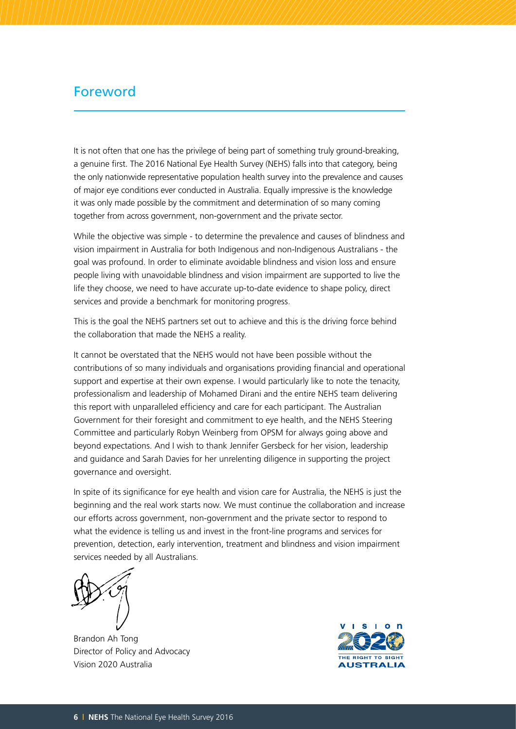# Foreword

It is not often that one has the privilege of being part of something truly ground-breaking. a genuine first. The 2016 National Eye Health Survey (NEHS) falls into that category, being the only nationwide representative population health survey into the prevalence and causes of major eye conditions ever conducted in Australia. Equally impressive is the knowledge it was only made possible by the commitment and determination of so many coming together from across government, non-government and the private sector.

While the objective was simple - to determine the prevalence and causes of blindness and vision impairment in Australia for both Indigenous and non-Indigenous Australians - the goal was profound. In order to eliminate avoidable blindness and vision loss and ensure people living with unavoidable blindness and vision impairment are supported to live the life they choose, we need to have accurate up-to-date evidence to shape policy, direct services and provide a benchmark for monitoring progress.

This is the goal the NEHS partners set out to achieve and this is the driving force behind the collaboration that made the NEHS a reality.

It cannot be overstated that the NEHS would not have been possible without the contributions of so many individuals and organisations providing financial and operational support and expertise at their own expense. I would particularly like to note the tenacity, professionalism and leadership of Mohamed Dirani and the entire NEHS team delivering this report with unparalleled efficiency and care for each participant. The Australian Government for their foresight and commitment to eye health, and the NEHS Steering Committee and particularly Robyn Weinberg from OPSM for always going above and beyond expectations. And I wish to thank Jennifer Gersbeck for her vision, leadership and guidance and Sarah Davies for her unrelenting diligence in supporting the project governance and oversight.

In spite of its significance for eye health and vision care for Australia, the NEHS is just the beginning and the real work starts now. We must continue the collaboration and increase our efforts across government, non-government and the private sector to respond to what the evidence is telling us and invest in the front-line programs and services for prevention, detection, early intervention, treatment and blindness and vision impairment services needed by all Australians.

Brandon Ah Tong Director of Policy and Advocacy Vision 2020 Australia

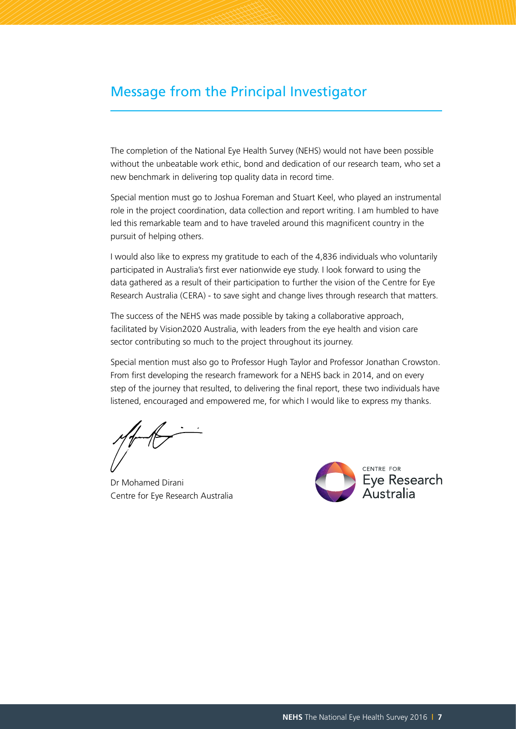# Message from the Principal Investigator

The completion of the National Eye Health Survey (NEHS) would not have been possible without the unbeatable work ethic, bond and dedication of our research team, who set a new benchmark in delivering top quality data in record time.

Special mention must go to Joshua Foreman and Stuart Keel, who played an instrumental role in the project coordination, data collection and report writing. I am humbled to have led this remarkable team and to have traveled around this magnificent country in the pursuit of helping others.

I would also like to express my gratitude to each of the 4,836 individuals who voluntarily participated in Australia's first ever nationwide eye study. I look forward to using the data gathered as a result of their participation to further the vision of the Centre for Eye Research Australia (CERA) - to save sight and change lives through research that matters.

The success of the NEHS was made possible by taking a collaborative approach, facilitated by Vision2020 Australia, with leaders from the eye health and vision care sector contributing so much to the project throughout its journey.

Special mention must also go to Professor Hugh Taylor and Professor Jonathan Crowston. From first developing the research framework for a NEHS back in 2014, and on every step of the journey that resulted, to delivering the final report, these two individuals have listened, encouraged and empowered me, for which I would like to express my thanks.

Dr Mohamed Dirani Centre for Eye Research Australia

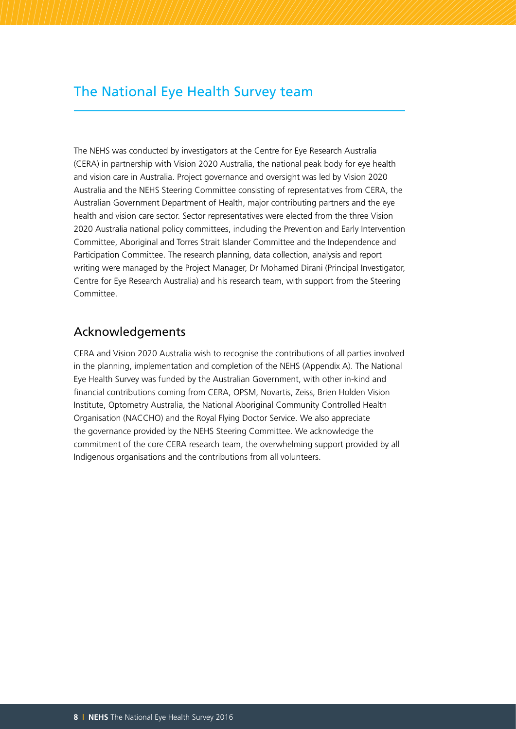# The National Eye Health Survey team

The NEHS was conducted by investigators at the Centre for Eye Research Australia (CERA) in partnership with Vision 2020 Australia, the national peak body for eye health and vision care in Australia. Project governance and oversight was led by Vision 2020 Australia and the NEHS Steering Committee consisting of representatives from CERA, the Australian Government Department of Health, major contributing partners and the eye health and vision care sector. Sector representatives were elected from the three Vision 2020 Australia national policy committees, including the Prevention and Early Intervention Committee, Aboriginal and Torres Strait Islander Committee and the Independence and Participation Committee. The research planning, data collection, analysis and report writing were managed by the Project Manager, Dr Mohamed Dirani (Principal Investigator, Centre for Eye Research Australia) and his research team, with support from the Steering Committee.

## Acknowledgements

CERA and Vision 2020 Australia wish to recognise the contributions of all parties involved in the planning, implementation and completion of the NEHS (Appendix A). The National Eye Health Survey was funded by the Australian Government, with other in-kind and financial contributions coming from CERA, OPSM, Novartis, Zeiss, Brien Holden Vision Institute, Optometry Australia, the National Aboriginal Community Controlled Health Organisation (NACCHO) and the Royal Flying Doctor Service. We also appreciate the governance provided by the NEHS Steering Committee. We acknowledge the commitment of the core CERA research team, the overwhelming support provided by all Indigenous organisations and the contributions from all volunteers.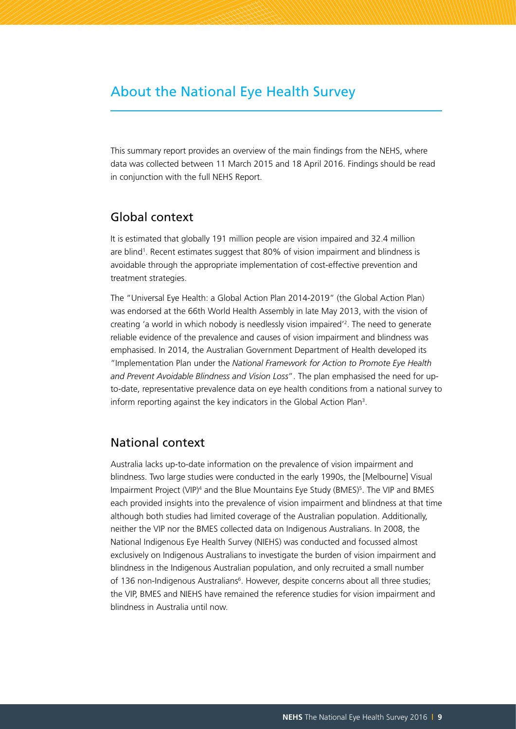# About the National Eye Health Survey

This summary report provides an overview of the main findings from the NEHS, where data was collected between 11 March 2015 and 18 April 2016. Findings should be read in conjunction with the full NEHS Report.

#### Global context

It is estimated that globally 191 million people are vision impaired and 32.4 million are blind1 . Recent estimates suggest that 80% of vision impairment and blindness is avoidable through the appropriate implementation of cost-effective prevention and treatment strategies.

The "Universal Eye Health: a Global Action Plan 2014-2019" (the Global Action Plan) was endorsed at the 66th World Health Assembly in late May 2013, with the vision of creating 'a world in which nobody is needlessly vision impaired'2 . The need to generate reliable evidence of the prevalence and causes of vision impairment and blindness was emphasised. In 2014, the Australian Government Department of Health developed its "Implementation Plan under the *National Framework for Action to Promote Eye Health and Prevent Avoidable Blindness and Vision Loss*". The plan emphasised the need for upto-date, representative prevalence data on eye health conditions from a national survey to inform reporting against the key indicators in the Global Action Plan<sup>3</sup>.

## National context

Australia lacks up-to-date information on the prevalence of vision impairment and blindness. Two large studies were conducted in the early 1990s, the [Melbourne] Visual Impairment Project (VIP)<sup>4</sup> and the Blue Mountains Eye Study (BMES)<sup>5</sup>. The VIP and BMES each provided insights into the prevalence of vision impairment and blindness at that time although both studies had limited coverage of the Australian population. Additionally, neither the VIP nor the BMES collected data on Indigenous Australians. In 2008, the National Indigenous Eye Health Survey (NIEHS) was conducted and focussed almost exclusively on Indigenous Australians to investigate the burden of vision impairment and blindness in the Indigenous Australian population, and only recruited a small number of 136 non-Indigenous Australians<sup>6</sup>. However, despite concerns about all three studies; the VIP, BMES and NIEHS have remained the reference studies for vision impairment and blindness in Australia until now.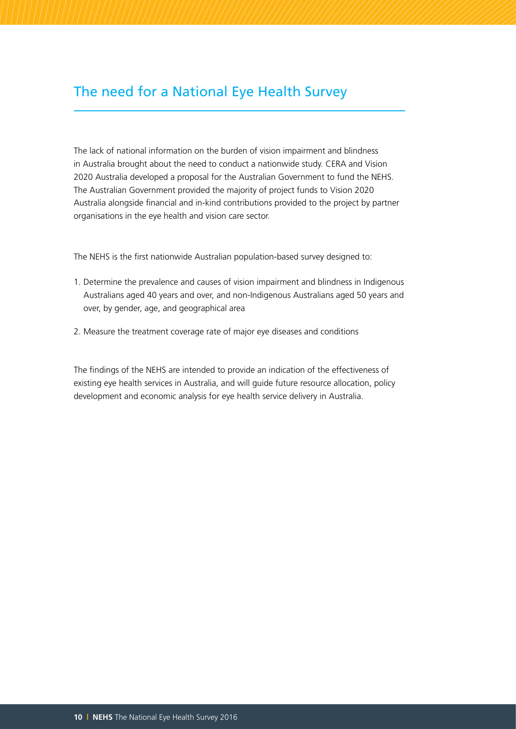# The need for a National Eye Health Survey

The lack of national information on the burden of vision impairment and blindness in Australia brought about the need to conduct a nationwide study. CERA and Vision 2020 Australia developed a proposal for the Australian Government to fund the NEHS. The Australian Government provided the majority of project funds to Vision 2020 Australia alongside financial and in-kind contributions provided to the project by partner organisations in the eye health and vision care sector.

The NEHS is the first nationwide Australian population-based survey designed to:

- 1. Determine the prevalence and causes of vision impairment and blindness in Indigenous Australians aged 40 years and over, and non-Indigenous Australians aged 50 years and over, by gender, age, and geographical area
- 2. Measure the treatment coverage rate of major eye diseases and conditions

The findings of the NEHS are intended to provide an indication of the effectiveness of existing eye health services in Australia, and will guide future resource allocation, policy development and economic analysis for eye health service delivery in Australia.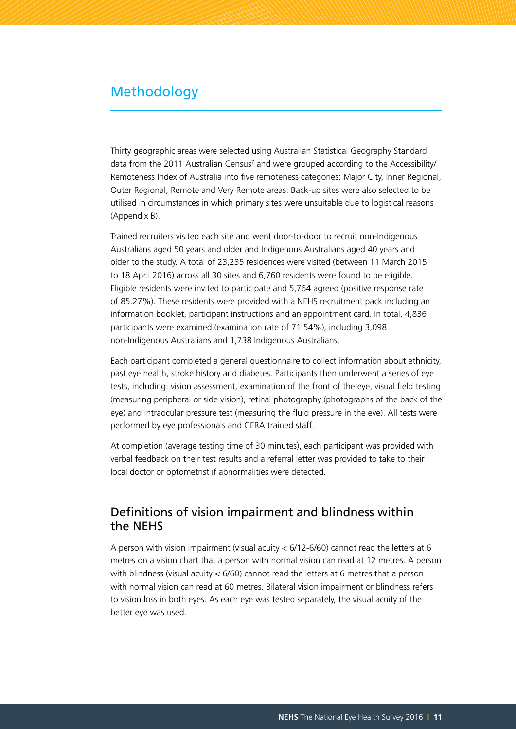## Methodology

Thirty geographic areas were selected using Australian Statistical Geography Standard data from the 2011 Australian Census<sup>7</sup> and were grouped according to the Accessibility/ Remoteness Index of Australia into five remoteness categories: Major City, Inner Regional, Outer Regional, Remote and Very Remote areas. Back-up sites were also selected to be utilised in circumstances in which primary sites were unsuitable due to logistical reasons (Appendix B).

Trained recruiters visited each site and went door-to-door to recruit non-Indigenous Australians aged 50 years and older and Indigenous Australians aged 40 years and older to the study. A total of 23,235 residences were visited (between 11 March 2015 to 18 April 2016) across all 30 sites and 6,760 residents were found to be eligible. Eligible residents were invited to participate and 5,764 agreed (positive response rate of 85.27%). These residents were provided with a NEHS recruitment pack including an information booklet, participant instructions and an appointment card. In total, 4,836 participants were examined (examination rate of 71.54%), including 3,098 non-Indigenous Australians and 1,738 Indigenous Australians.

Each participant completed a general questionnaire to collect information about ethnicity, past eye health, stroke history and diabetes. Participants then underwent a series of eye tests, including: vision assessment, examination of the front of the eye, visual field testing (measuring peripheral or side vision), retinal photography (photographs of the back of the eye) and intraocular pressure test (measuring the fluid pressure in the eye). All tests were performed by eye professionals and CERA trained staff.

At completion (average testing time of 30 minutes), each participant was provided with verbal feedback on their test results and a referral letter was provided to take to their local doctor or optometrist if abnormalities were detected.

### Definitions of vision impairment and blindness within the NEHS

A person with vision impairment (visual acuity < 6/12-6/60) cannot read the letters at 6 metres on a vision chart that a person with normal vision can read at 12 metres. A person with blindness (visual acuity < 6/60) cannot read the letters at 6 metres that a person with normal vision can read at 60 metres. Bilateral vision impairment or blindness refers to vision loss in both eyes. As each eye was tested separately, the visual acuity of the better eye was used.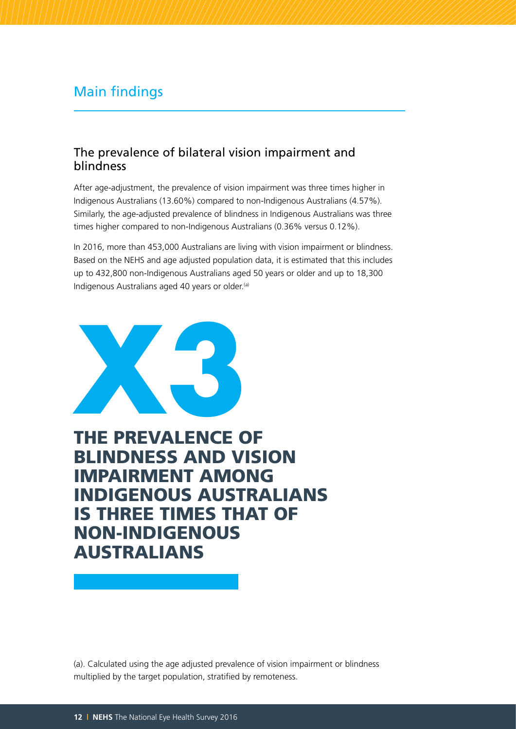# Main findings

## The prevalence of bilateral vision impairment and blindness

After age-adjustment, the prevalence of vision impairment was three times higher in Indigenous Australians (13.60%) compared to non-Indigenous Australians (4.57%). Similarly, the age-adjusted prevalence of blindness in Indigenous Australians was three times higher compared to non-Indigenous Australians (0.36% versus 0.12%).

In 2016, more than 453,000 Australians are living with vision impairment or blindness. Based on the NEHS and age adjusted population data, it is estimated that this includes up to 432,800 non-Indigenous Australians aged 50 years or older and up to 18,300 Indigenous Australians aged 40 years or older.<sup>(a)</sup>



THE PREVALENCE OF BLINDNESS AND VISION IMPAIRMENT AMONG INDIGENOUS AUSTRALIANS IS THREE TIMES THAT OF NON-INDIGENOUS AUSTRALIANS

(a). Calculated using the age adjusted prevalence of vision impairment or blindness multiplied by the target population, stratified by remoteness.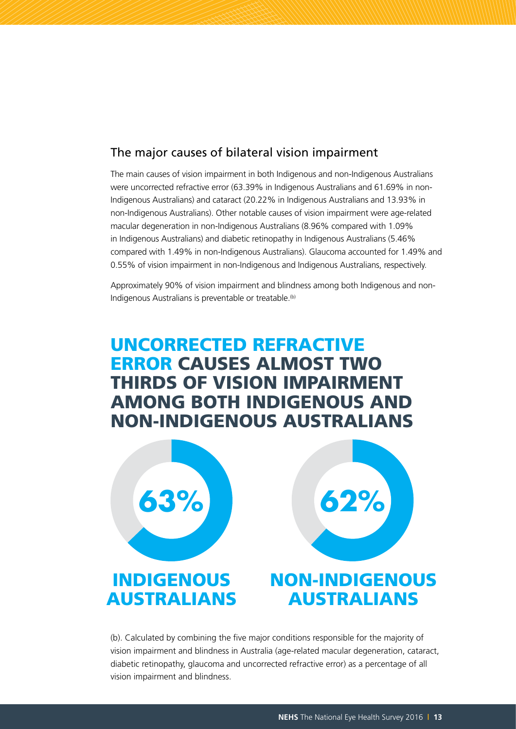## The major causes of bilateral vision impairment

The main causes of vision impairment in both Indigenous and non-Indigenous Australians were uncorrected refractive error (63.39% in Indigenous Australians and 61.69% in non-Indigenous Australians) and cataract (20.22% in Indigenous Australians and 13.93% in non-Indigenous Australians). Other notable causes of vision impairment were age-related macular degeneration in non-Indigenous Australians (8.96% compared with 1.09% in Indigenous Australians) and diabetic retinopathy in Indigenous Australians (5.46% compared with 1.49% in non-Indigenous Australians). Glaucoma accounted for 1.49% and 0.55% of vision impairment in non-Indigenous and Indigenous Australians, respectively.

Approximately 90% of vision impairment and blindness among both Indigenous and non-Indigenous Australians is preventable or treatable.<sup>(b)</sup>

# UNCORRECTED REFRACTIVE ERROR CAUSES ALMOST TWO THIRDS OF VISION IMPAIRMENT AMONG BOTH INDIGENOUS AND NON-INDIGENOUS AUSTRALIANS



(b). Calculated by combining the five major conditions responsible for the majority of vision impairment and blindness in Australia (age-related macular degeneration, cataract, diabetic retinopathy, glaucoma and uncorrected refractive error) as a percentage of all vision impairment and blindness.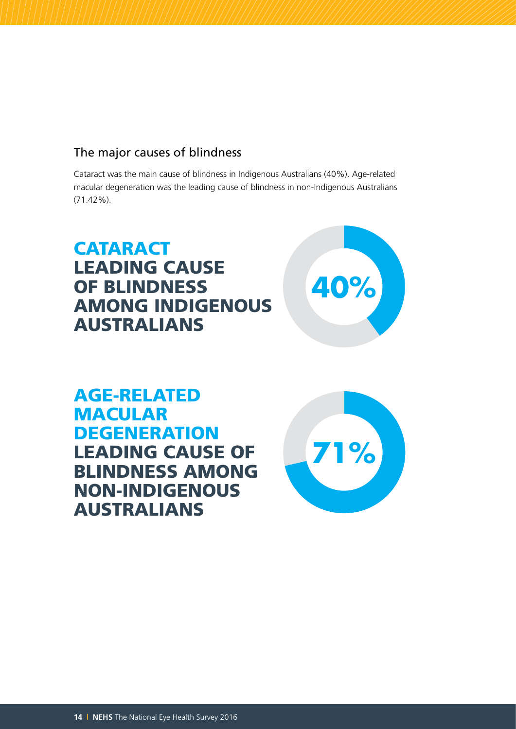## The major causes of blindness

Cataract was the main cause of blindness in Indigenous Australians (40%). Age-related macular degeneration was the leading cause of blindness in non-Indigenous Australians (71.42%).

# **CATARACT** LEADING CAUSE OF BLINDNESS AMONG INDIGENOUS AUSTRALIANS



AGE-RELATED MACULAR **DEGENERATION** LEADING CAUSE OF BLINDNESS AMONG NON-INDIGENOUS AUSTRALIANS

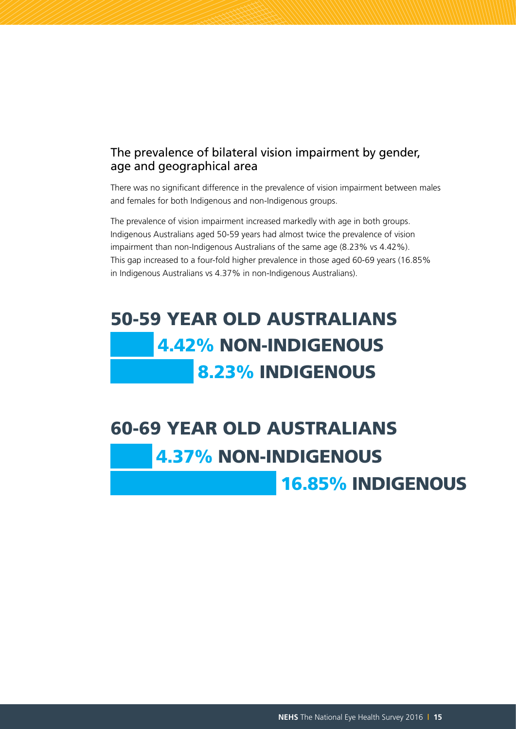## The prevalence of bilateral vision impairment by gender, age and geographical area

There was no significant difference in the prevalence of vision impairment between males and females for both Indigenous and non-Indigenous groups.

The prevalence of vision impairment increased markedly with age in both groups. Indigenous Australians aged 50-59 years had almost twice the prevalence of vision impairment than non-Indigenous Australians of the same age (8.23% vs 4.42%). This gap increased to a four-fold higher prevalence in those aged 60-69 years (16.85% in Indigenous Australians vs 4.37% in non-Indigenous Australians).

# 50-59 YEAR OLD AUSTRALIANS 4.42% NON-INDIGENOUS 8.23% INDIGENOUS

# 60-69 YEAR OLD AUSTRALIANS 4.37% NON-INDIGENOUS

16.85% INDIGENOUS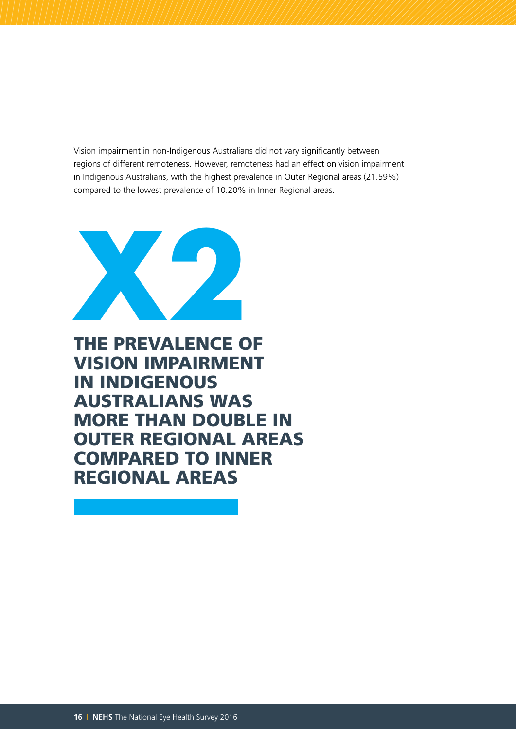Vision impairment in non-Indigenous Australians did not vary significantly between regions of different remoteness. However, remoteness had an effect on vision impairment in Indigenous Australians, with the highest prevalence in Outer Regional areas (21.59%) compared to the lowest prevalence of 10.20% in Inner Regional areas.



THE PREVALENCE OF VISION IMPAIRMENT IN INDIGENOUS AUSTRALIANS WAS MORE THAN DOUBLE IN OUTER REGIONAL AREAS COMPARED TO INNER REGIONAL AREAS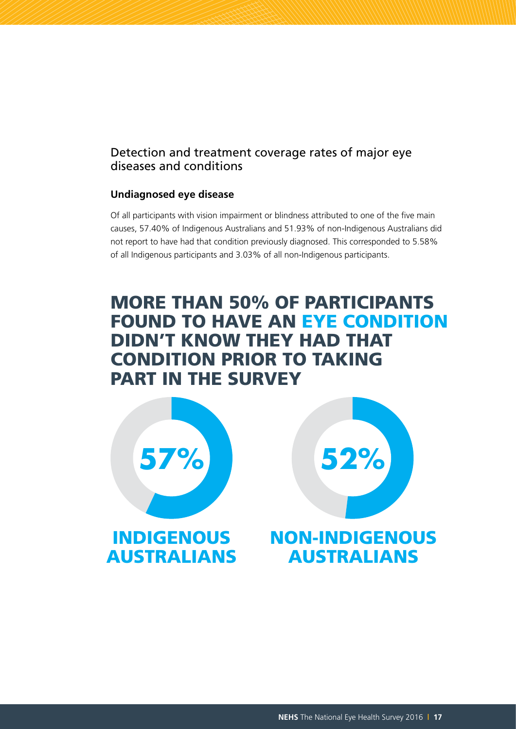## Detection and treatment coverage rates of major eye diseases and conditions

#### **Undiagnosed eye disease**

Of all participants with vision impairment or blindness attributed to one of the five main causes, 57.40% of Indigenous Australians and 51.93% of non-Indigenous Australians did not report to have had that condition previously diagnosed. This corresponded to 5.58% of all Indigenous participants and 3.03% of all non-Indigenous participants.

# MORE THAN 50% OF PARTICIPANTS FOUND TO HAVE AN EYE CONDITION DIDN'T KNOW THEY HAD THAT CONDITION PRIOR TO TAKING PART IN THE SURVEY

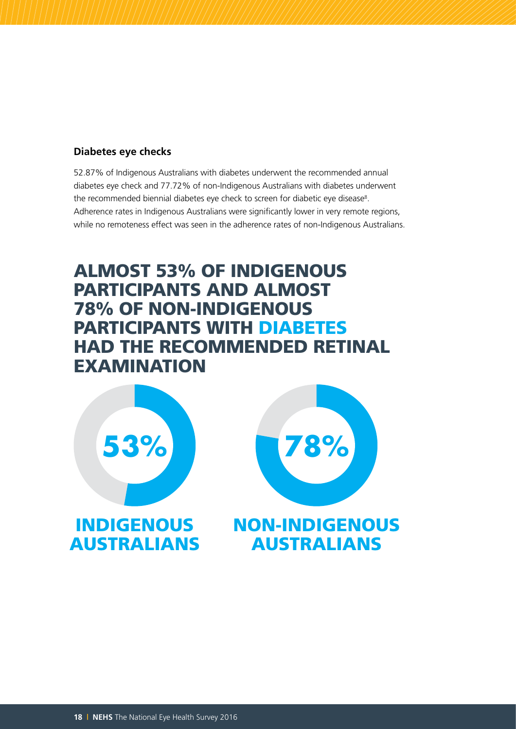#### **Diabetes eye checks**

52.87% of Indigenous Australians with diabetes underwent the recommended annual diabetes eye check and 77.72% of non-Indigenous Australians with diabetes underwent the recommended biennial diabetes eye check to screen for diabetic eye disease $s$ . Adherence rates in Indigenous Australians were significantly lower in very remote regions, while no remoteness effect was seen in the adherence rates of non-Indigenous Australians.

# ALMOST 53% OF INDIGENOUS PARTICIPANTS AND ALMOST 78% OF NON-INDIGENOUS PARTICIPANTS WITH DIABETES HAD THE RECOMMENDED RETINAL EXAMINATION

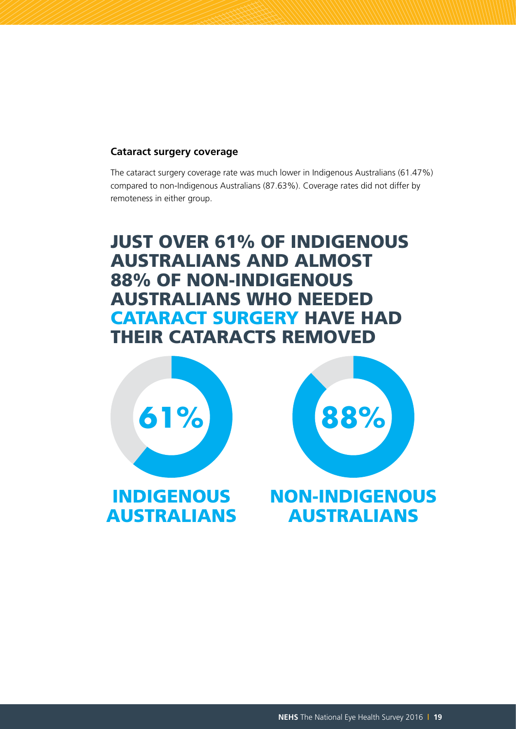#### **Cataract surgery coverage**

The cataract surgery coverage rate was much lower in Indigenous Australians (61.47%) compared to non-Indigenous Australians (87.63%). Coverage rates did not differ by remoteness in either group.

# JUST OVER 61% OF INDIGENOUS AUSTRALIANS AND ALMOST 88% OF NON-INDIGENOUS AUSTRALIANS WHO NEEDED CATARACT SURGERY HAVE HAD THEIR CATARACTS REMOVED







# INDIGENOUS NON-INDIGENOUS AUSTRALIANS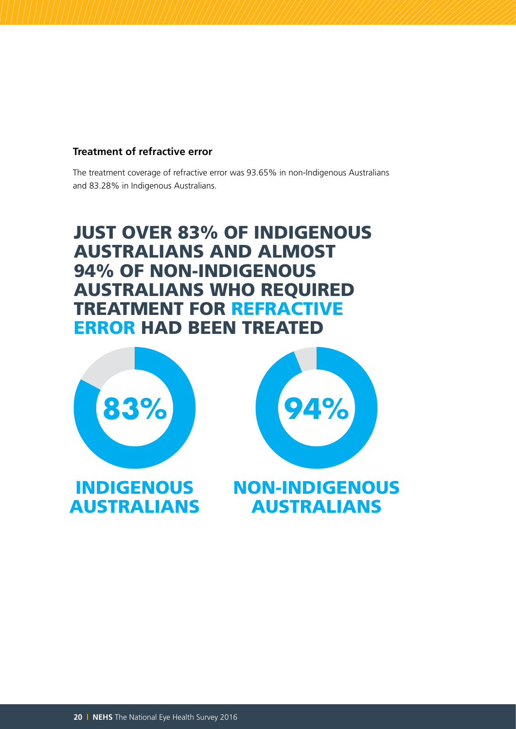#### **Treatment of refractive error**

The treatment coverage of refractive error was 93.65% in non-Indigenous Australians and 83.28% in Indigenous Australians.

# JUST OVER 83% OF INDIGENOUS AUSTRALIANS AND ALMOST 94% OF NON-INDIGENOUS AUSTRALIANS WHO REQUIRED TREATMENT FOR REFRACTIVE ERROR HAD BEEN TREATED



AUSTRALIANS



NON-INDIGENOUS AUSTRALIANS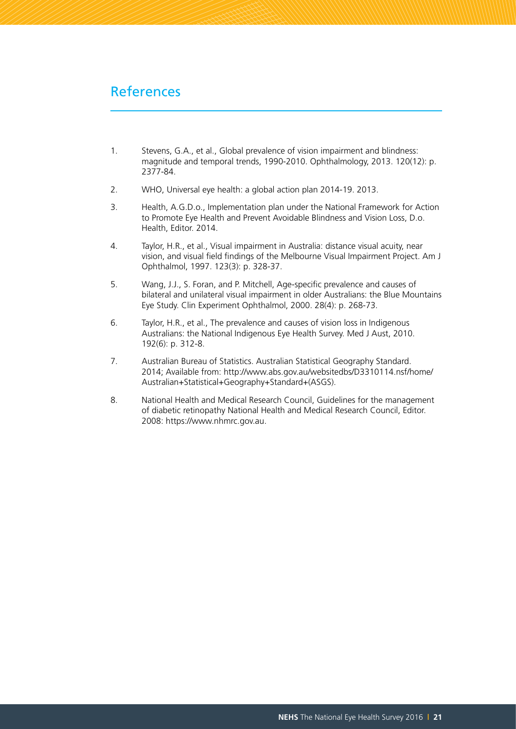# References

- 1. Stevens, G.A., et al., Global prevalence of vision impairment and blindness: magnitude and temporal trends, 1990-2010. Ophthalmology, 2013. 120(12): p. 2377-84.
- 2. WHO, Universal eye health: a global action plan 2014-19. 2013.
- 3. Health, A.G.D.o., Implementation plan under the National Framework for Action to Promote Eye Health and Prevent Avoidable Blindness and Vision Loss, D.o. Health, Editor. 2014.
- 4. Taylor, H.R., et al., Visual impairment in Australia: distance visual acuity, near vision, and visual field findings of the Melbourne Visual Impairment Project. Am J Ophthalmol, 1997. 123(3): p. 328-37.
- 5. Wang, J.J., S. Foran, and P. Mitchell, Age-specific prevalence and causes of bilateral and unilateral visual impairment in older Australians: the Blue Mountains Eye Study. Clin Experiment Ophthalmol, 2000. 28(4): p. 268-73.
- 6. Taylor, H.R., et al., The prevalence and causes of vision loss in Indigenous Australians: the National Indigenous Eye Health Survey. Med J Aust, 2010. 192(6): p. 312-8.
- 7. Australian Bureau of Statistics. Australian Statistical Geography Standard. 2014; Available from: http://www.abs.gov.au/websitedbs/D3310114.nsf/home/ Australian+Statistical+Geography+Standard+(ASGS).
- 8. National Health and Medical Research Council, Guidelines for the management of diabetic retinopathy National Health and Medical Research Council, Editor. 2008: https://www.nhmrc.gov.au.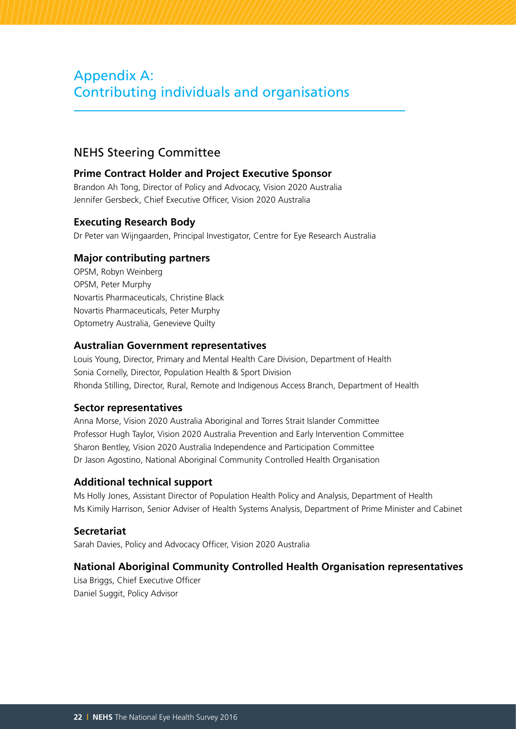# Appendix A: Contributing individuals and organisations

## NEHS Steering Committee

#### **Prime Contract Holder and Project Executive Sponsor**

Brandon Ah Tong, Director of Policy and Advocacy, Vision 2020 Australia Jennifer Gersbeck, Chief Executive Officer, Vision 2020 Australia

#### **Executing Research Body**

Dr Peter van Wijngaarden, Principal Investigator, Centre for Eye Research Australia

#### **Major contributing partners**

OPSM, Robyn Weinberg OPSM, Peter Murphy Novartis Pharmaceuticals, Christine Black Novartis Pharmaceuticals, Peter Murphy Optometry Australia, Genevieve Quilty

#### **Australian Government representatives**

Louis Young, Director, Primary and Mental Health Care Division, Department of Health Sonia Cornelly, Director, Population Health & Sport Division Rhonda Stilling, Director, Rural, Remote and Indigenous Access Branch, Department of Health

#### **Sector representatives**

Anna Morse, Vision 2020 Australia Aboriginal and Torres Strait Islander Committee Professor Hugh Taylor, Vision 2020 Australia Prevention and Early Intervention Committee Sharon Bentley, Vision 2020 Australia Independence and Participation Committee Dr Jason Agostino, National Aboriginal Community Controlled Health Organisation

#### **Additional technical support**

Ms Holly Jones, Assistant Director of Population Health Policy and Analysis, Department of Health Ms Kimily Harrison, Senior Adviser of Health Systems Analysis, Department of Prime Minister and Cabinet

#### **Secretariat**

Sarah Davies, Policy and Advocacy Officer, Vision 2020 Australia

#### **National Aboriginal Community Controlled Health Organisation representatives**

Lisa Briggs, Chief Executive Officer Daniel Suggit, Policy Advisor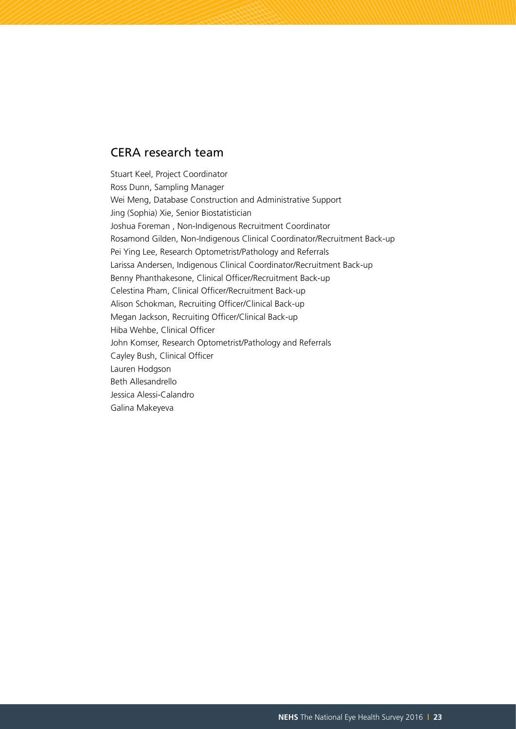## CERA research team

Stuart Keel, Project Coordinator Ross Dunn, Sampling Manager Wei Meng, Database Construction and Administrative Support Jing (Sophia) Xie, Senior Biostatistician Joshua Foreman , Non-Indigenous Recruitment Coordinator Rosamond Gilden, Non-Indigenous Clinical Coordinator/Recruitment Back-up Pei Ying Lee, Research Optometrist/Pathology and Referrals Larissa Andersen, Indigenous Clinical Coordinator/Recruitment Back-up Benny Phanthakesone, Clinical Officer/Recruitment Back-up Celestina Pham, Clinical Officer/Recruitment Back-up Alison Schokman, Recruiting Officer/Clinical Back-up Megan Jackson, Recruiting Officer/Clinical Back-up Hiba Wehbe, Clinical Officer John Komser, Research Optometrist/Pathology and Referrals Cayley Bush, Clinical Officer Lauren Hodgson Beth Allesandrello Jessica Alessi-Calandro Galina Makeyeva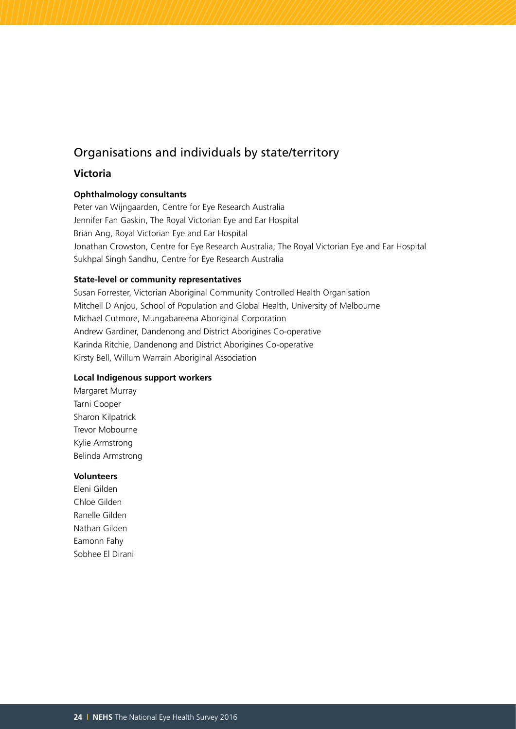## Organisations and individuals by state/territory

#### **Victoria**

#### **Ophthalmology consultants**

Peter van Wijngaarden, Centre for Eye Research Australia Jennifer Fan Gaskin, The Royal Victorian Eye and Ear Hospital Brian Ang, Royal Victorian Eye and Ear Hospital Jonathan Crowston, Centre for Eye Research Australia; The Royal Victorian Eye and Ear Hospital Sukhpal Singh Sandhu, Centre for Eye Research Australia

#### **State-level or community representatives**

Susan Forrester, Victorian Aboriginal Community Controlled Health Organisation Mitchell D Anjou, School of Population and Global Health, University of Melbourne Michael Cutmore, Mungabareena Aboriginal Corporation Andrew Gardiner, Dandenong and District Aborigines Co-operative Karinda Ritchie, Dandenong and District Aborigines Co-operative Kirsty Bell, Willum Warrain Aboriginal Association

#### **Local Indigenous support workers**

Margaret Murray Tarni Cooper Sharon Kilpatrick Trevor Mobourne Kylie Armstrong Belinda Armstrong

#### **Volunteers**

Eleni Gilden Chloe Gilden Ranelle Gilden Nathan Gilden Eamonn Fahy Sobhee El Dirani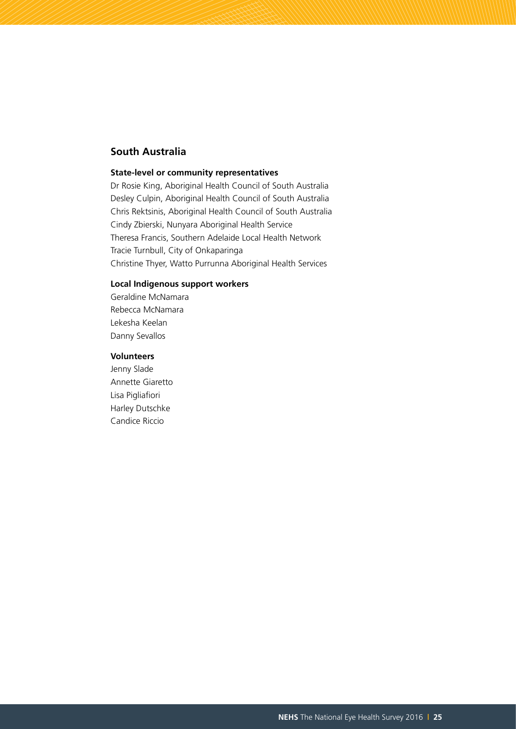#### **South Australia**

#### **State-level or community representatives**

Dr Rosie King, Aboriginal Health Council of South Australia Desley Culpin, Aboriginal Health Council of South Australia Chris Rektsinis, Aboriginal Health Council of South Australia Cindy Zbierski, Nunyara Aboriginal Health Service Theresa Francis, Southern Adelaide Local Health Network Tracie Turnbull, City of Onkaparinga Christine Thyer, Watto Purrunna Aboriginal Health Services

#### **Local Indigenous support workers**

Geraldine McNamara Rebecca McNamara Lekesha Keelan Danny Sevallos

#### **Volunteers**

Jenny Slade Annette Giaretto Lisa Pigliafiori Harley Dutschke Candice Riccio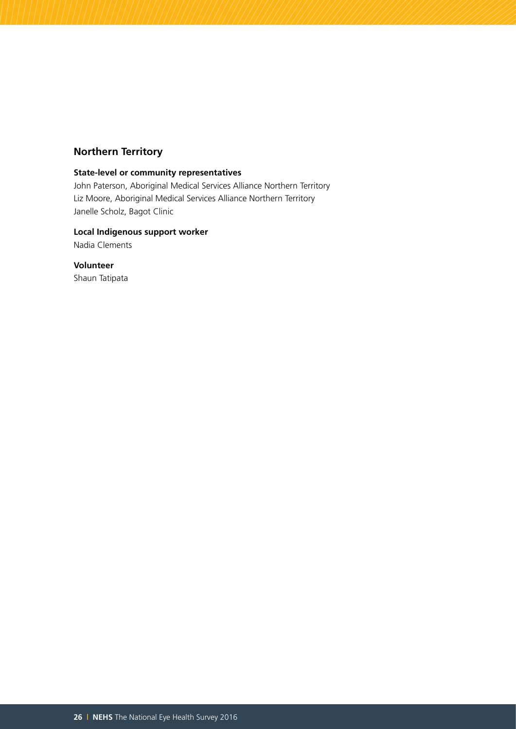#### **Northern Territory**

#### **State-level or community representatives**

John Paterson, Aboriginal Medical Services Alliance Northern Territory Liz Moore, Aboriginal Medical Services Alliance Northern Territory Janelle Scholz, Bagot Clinic

#### **Local Indigenous support worker** Nadia Clements

**Volunteer** Shaun Tatipata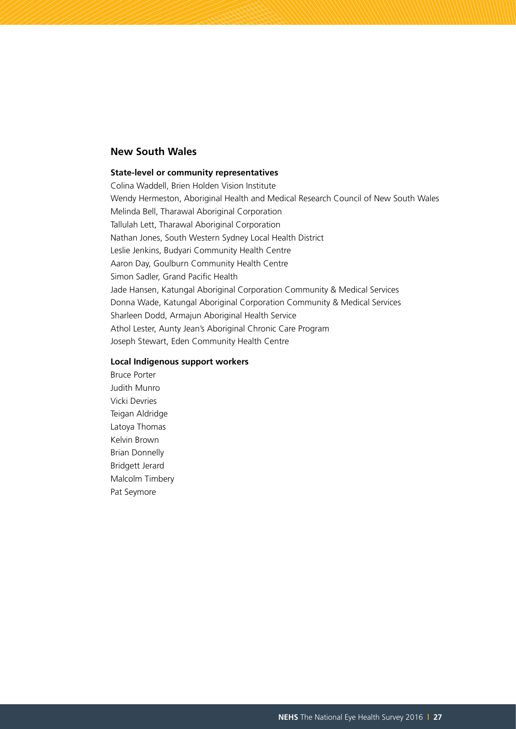#### **New South Wales**

#### **State-level or community representatives**

Colina Waddell, Brien Holden Vision Institute Wendy Hermeston, Aboriginal Health and Medical Research Council of New South Wales Melinda Bell, Tharawal Aboriginal Corporation Tallulah Lett, Tharawal Aboriginal Corporation Nathan Jones, South Western Sydney Local Health District Leslie Jenkins, Budyari Community Health Centre Aaron Day, Goulburn Community Health Centre Simon Sadler, Grand Pacific Health Jade Hansen, Katungal Aboriginal Corporation Community & Medical Services Donna Wade, Katungal Aboriginal Corporation Community & Medical Services Sharleen Dodd, Armajun Aboriginal Health Service Athol Lester, Aunty Jean's Aboriginal Chronic Care Program Joseph Stewart, Eden Community Health Centre

#### **Local Indigenous support workers**

Bruce Porter Judith Munro Vicki Devries Teigan Aldridge Latoya Thomas Kelvin Brown Brian Donnelly Bridgett Jerard Malcolm Timbery Pat Seymore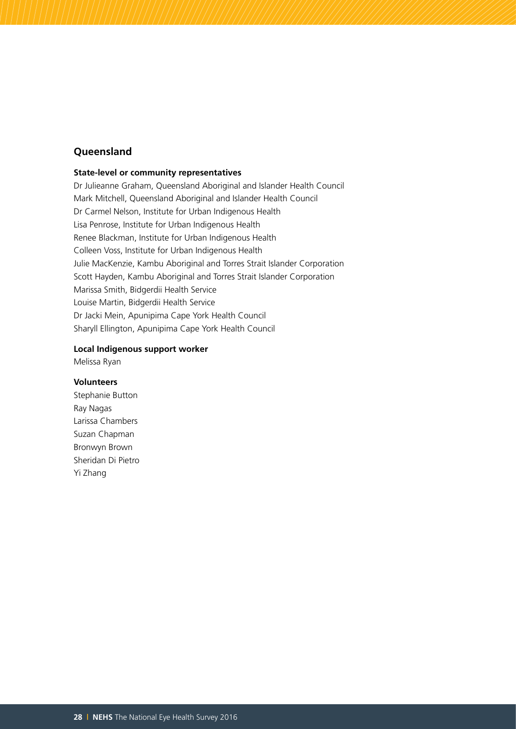#### **Queensland**

#### **State-level or community representatives**

Dr Julieanne Graham, Queensland Aboriginal and Islander Health Council Mark Mitchell, Queensland Aboriginal and Islander Health Council Dr Carmel Nelson, Institute for Urban Indigenous Health Lisa Penrose, Institute for Urban Indigenous Health Renee Blackman, Institute for Urban Indigenous Health Colleen Voss, Institute for Urban Indigenous Health Julie MacKenzie, Kambu Aboriginal and Torres Strait Islander Corporation Scott Hayden, Kambu Aboriginal and Torres Strait Islander Corporation Marissa Smith, Bidgerdii Health Service Louise Martin, Bidgerdii Health Service Dr Jacki Mein, Apunipima Cape York Health Council Sharyll Ellington, Apunipima Cape York Health Council

#### **Local Indigenous support worker**

Melissa Ryan

#### **Volunteers**

Stephanie Button Ray Nagas Larissa Chambers Suzan Chapman Bronwyn Brown Sheridan Di Pietro Yi Zhang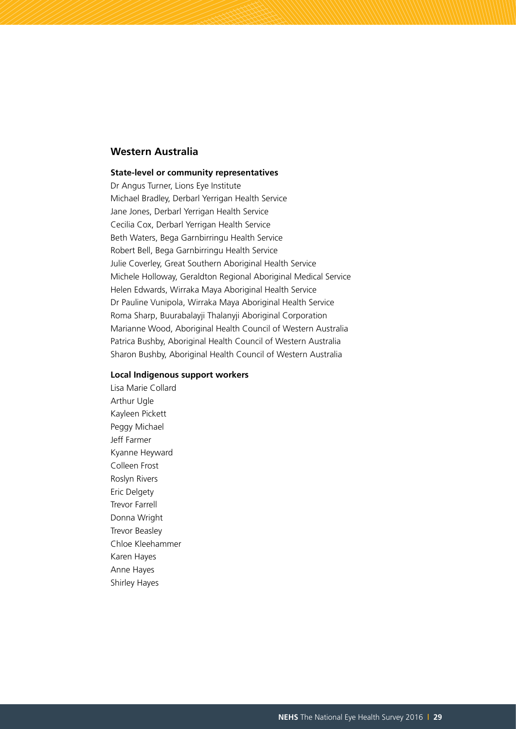#### **Western Australia**

#### **State-level or community representatives**

Dr Angus Turner, Lions Eye Institute Michael Bradley, Derbarl Yerrigan Health Service Jane Jones, Derbarl Yerrigan Health Service Cecilia Cox, Derbarl Yerrigan Health Service Beth Waters, Bega Garnbirringu Health Service Robert Bell, Bega Garnbirringu Health Service Julie Coverley, Great Southern Aboriginal Health Service Michele Holloway, Geraldton Regional Aboriginal Medical Service Helen Edwards, Wirraka Maya Aboriginal Health Service Dr Pauline Vunipola, Wirraka Maya Aboriginal Health Service Roma Sharp, Buurabalayji Thalanyji Aboriginal Corporation Marianne Wood, Aboriginal Health Council of Western Australia Patrica Bushby, Aboriginal Health Council of Western Australia Sharon Bushby, Aboriginal Health Council of Western Australia

#### **Local Indigenous support workers**

Lisa Marie Collard Arthur Ugle Kayleen Pickett Peggy Michael Jeff Farmer Kyanne Heyward Colleen Frost Roslyn Rivers Eric Delgety Trevor Farrell Donna Wright Trevor Beasley Chloe Kleehammer Karen Hayes Anne Hayes Shirley Hayes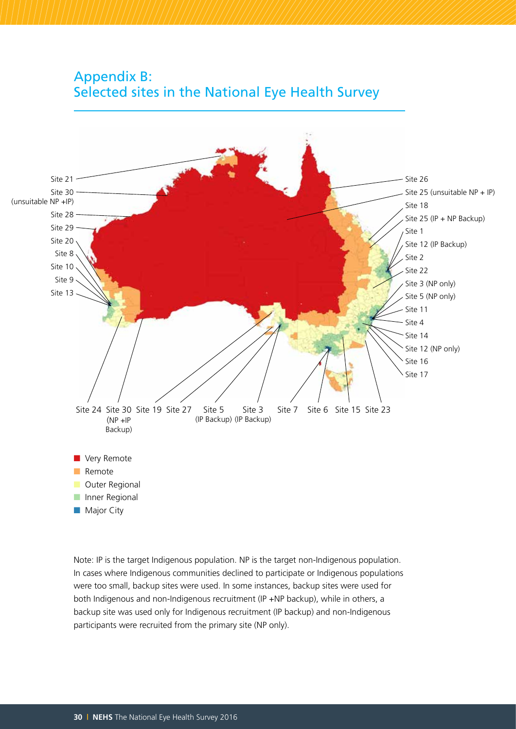



Note: IP is the target Indigenous population. NP is the target non-Indigenous population. In cases where Indigenous communities declined to participate or Indigenous populations were too small, backup sites were used. In some instances, backup sites were used for both Indigenous and non-Indigenous recruitment (IP +NP backup), while in others, a backup site was used only for Indigenous recruitment (IP backup) and non-Indigenous participants were recruited from the primary site (NP only).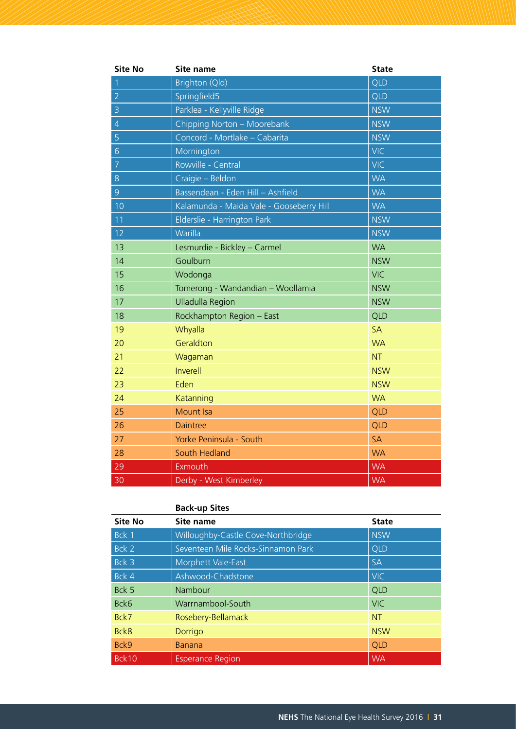| <b>Site No</b> | Site name                                | <b>State</b> |
|----------------|------------------------------------------|--------------|
| $\overline{1}$ | Brighton (Qld)                           | QLD          |
| $\overline{2}$ | Springfield5                             | <b>QLD</b>   |
| $\overline{3}$ | Parklea - Kellyville Ridge               | <b>NSW</b>   |
| $\overline{4}$ | Chipping Norton - Moorebank              | <b>NSW</b>   |
| 5              | Concord - Mortlake - Cabarita            | <b>NSW</b>   |
| $\overline{6}$ | Mornington                               | <b>VIC</b>   |
| $\overline{7}$ | Rowville - Central                       | <b>VIC</b>   |
| 8              | Craigie - Beldon                         | <b>WA</b>    |
| 9              | Bassendean - Eden Hill - Ashfield        | <b>WA</b>    |
| 10             | Kalamunda - Maida Vale - Gooseberry Hill | <b>WA</b>    |
| 11             | Elderslie - Harrington Park              | <b>NSW</b>   |
| 12             | Warilla                                  | <b>NSW</b>   |
| 13             | Lesmurdie - Bickley - Carmel             | <b>WA</b>    |
| 14             | Goulburn                                 | <b>NSW</b>   |
| 15             | Wodonga                                  | <b>VIC</b>   |
| 16             | Tomerong - Wandandian - Woollamia        | <b>NSW</b>   |
| 17             | <b>Ulladulla Region</b>                  | <b>NSW</b>   |
| 18             | Rockhampton Region - East                | QLD          |
| 19             | Whyalla                                  | <b>SA</b>    |
| 20             | Geraldton                                | <b>WA</b>    |
| 21             | Wagaman                                  | <b>NT</b>    |
| 22             | Inverell                                 | <b>NSW</b>   |
| 23             | Eden                                     | <b>NSW</b>   |
| 24             | Katanning                                | <b>WA</b>    |
| 25             | Mount Isa                                | QLD          |
| 26             | <b>Daintree</b>                          | QLD          |
| 27             | Yorke Peninsula - South                  | <b>SA</b>    |
| 28             | South Hedland                            | <b>WA</b>    |
| 29             | Exmouth                                  | <b>WA</b>    |
| 30             | Derby - West Kimberley                   | <b>WA</b>    |

#### **Back-up Sites**

| <b>Site No</b> | Site name                          | <b>State</b> |
|----------------|------------------------------------|--------------|
| Bck 1          | Willoughby-Castle Cove-Northbridge | <b>NSW</b>   |
| Bck 2          | Seventeen Mile Rocks-Sinnamon Park | <b>QLD</b>   |
| Bck 3          | Morphett Vale-East                 | <b>SA</b>    |
| Bck 4          | Ashwood-Chadstone                  | <b>VIC</b>   |
| Bck 5          | Nambour                            | QLD          |
| Bck6           | Warrnambool-South                  | <b>VIC</b>   |
| Bck7           | Rosebery-Bellamack                 | <b>NT</b>    |
| Bck8           | Dorrigo                            | <b>NSW</b>   |
| Bck9           | <b>Banana</b>                      | QLD          |
| Bck10          | <b>Esperance Region</b>            | <b>WA</b>    |